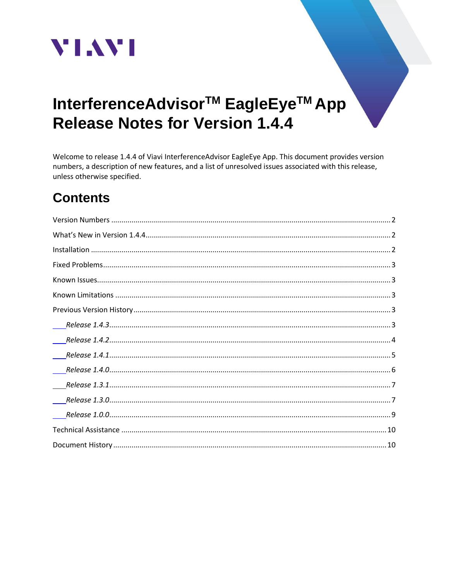

# InterferenceAdvisor<sup>™</sup> EagleEye<sup>™</sup> App **Release Notes for Version 1.4.4**

Welcome to release 1.4.4 of Viavi InterferenceAdvisor EagleEye App. This document provides version numbers, a description of new features, and a list of unresolved issues associated with this release, unless otherwise specified.

# **Contents**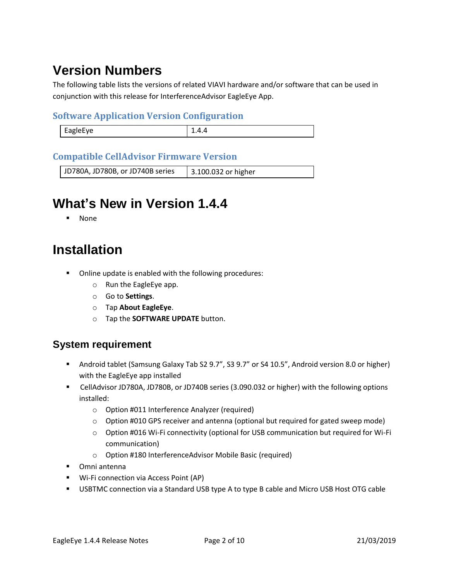# <span id="page-1-0"></span>**Version Numbers**

The following table lists the versions of related VIAVI hardware and/or software that can be used in conjunction with this release for InterferenceAdvisor EagleEye App.

### **Software Application Version Configuration**

| apiprve<br>--0 |  |
|----------------|--|
|                |  |

### **Compatible CellAdvisor Firmware Version**

<span id="page-1-1"></span>JD780A, JD780B, or JD740B series | 3.100.032 or higher

## **What's New in Version 1.4.4**

**None** 

## <span id="page-1-2"></span>**Installation**

- Online update is enabled with the following procedures:
	- o Run the EagleEye app.
	- o Go to **Settings**.
	- o Tap **About EagleEye**.
	- o Tap the **SOFTWARE UPDATE** button.

### **System requirement**

- Android tablet (Samsung Galaxy Tab S2 9.7", S3 9.7" or S4 10.5", Android version 8.0 or higher) with the EagleEye app installed
- CellAdvisor JD780A, JD780B, or JD740B series (3.090.032 or higher) with the following options installed:
	- o Option #011 Interference Analyzer (required)
	- $\circ$  Option #010 GPS receiver and antenna (optional but required for gated sweep mode)
	- o Option #016 Wi-Fi connectivity (optional for USB communication but required for Wi-Fi communication)
	- o Option #180 InterferenceAdvisor Mobile Basic (required)
- Omni antenna
- Wi-Fi connection via Access Point (AP)
- USBTMC connection via a Standard USB type A to type B cable and Micro USB Host OTG cable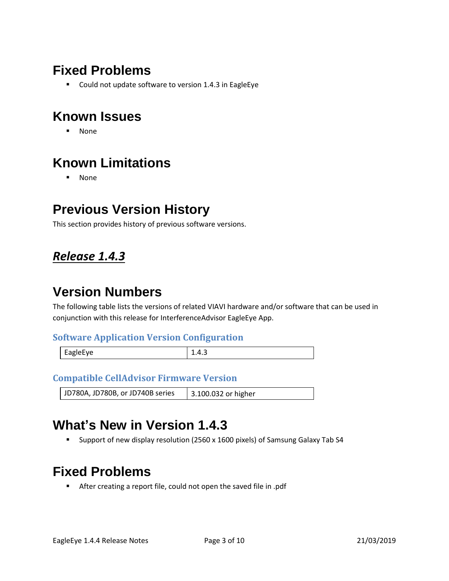## <span id="page-2-0"></span>**Fixed Problems**

■ Could not update software to version 1.4.3 in EagleEye

## <span id="page-2-1"></span>**Known Issues**

▪ None

# <span id="page-2-2"></span>**Known Limitations**

▪ None

## <span id="page-2-3"></span>**Previous Version History**

This section provides history of previous software versions.

### <span id="page-2-4"></span>*Release 1.4.3*

## **Version Numbers**

The following table lists the versions of related VIAVI hardware and/or software that can be used in conjunction with this release for InterferenceAdvisor EagleEye App.

#### **Software Application Version Configuration**

| EagleEye |  |
|----------|--|
|          |  |

#### **Compatible CellAdvisor Firmware Version**

JD780A, JD780B, or JD740B series | 3.100.032 or higher

## **What's New in Version 1.4.3**

▪ Support of new display resolution (2560 x 1600 pixels) of Samsung Galaxy Tab S4

## **Fixed Problems**

■ After creating a report file, could not open the saved file in .pdf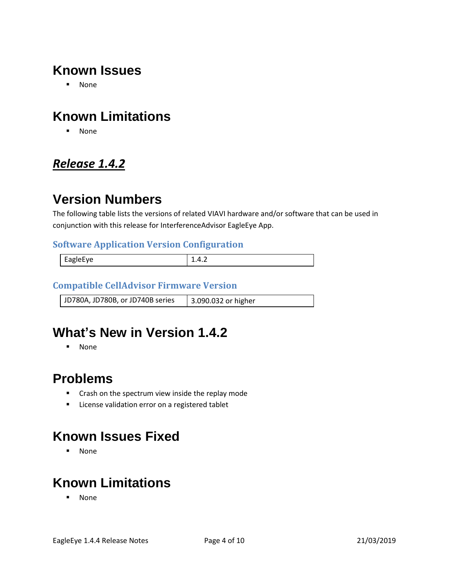## **Known Issues**

▪ None

## **Known Limitations**

▪ None

### <span id="page-3-0"></span>*Release 1.4.2*

### **Version Numbers**

The following table lists the versions of related VIAVI hardware and/or software that can be used in conjunction with this release for InterferenceAdvisor EagleEye App.

#### **Software Application Version Configuration**

| Eag<br>. . |  |
|------------|--|
|            |  |

### **Compatible CellAdvisor Firmware Version**

| JD780A, JD780B, or JD740B series | 3.090.032 or higher |
|----------------------------------|---------------------|

## **What's New in Version 1.4.2**

▪ None

### **Problems**

- Crash on the spectrum view inside the replay mode
- License validation error on a registered tablet

## **Known Issues Fixed**

▪ None

# **Known Limitations**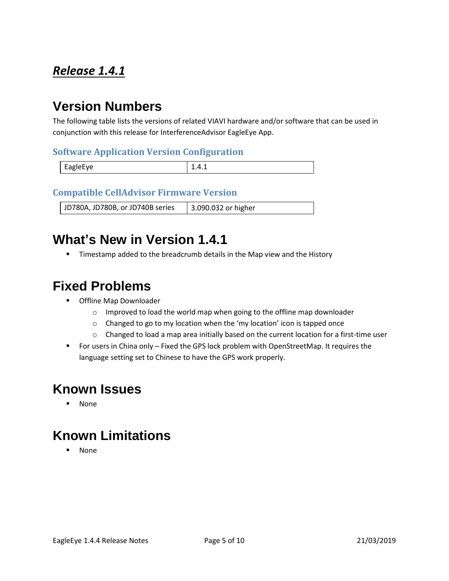### <span id="page-4-0"></span>*Release 1.4.1*

# **Version Numbers**

The following table lists the versions of related VIAVI hardware and/or software that can be used in conjunction with this release for InterferenceAdvisor EagleEye App.

#### **Software Application Version Configuration**

| <b>FARIAFVA</b> | ---- |
|-----------------|------|

#### **Compatible CellAdvisor Firmware Version**

JD780A, JD780B, or JD740B series | 3.090.032 or higher

### **What's New in Version 1.4.1**

**■** Timestamp added to the breadcrumb details in the Map view and the History

### **Fixed Problems**

- Offline Map Downloader
	- o Improved to load the world map when going to the offline map downloader
	- o Changed to go to my location when the 'my location' icon is tapped once
	- $\circ$  Changed to load a map area initially based on the current location for a first-time user
- For users in China only Fixed the GPS lock problem with OpenStreetMap. It requires the language setting set to Chinese to have the GPS work properly.

## **Known Issues**

▪ None

## **Known Limitations**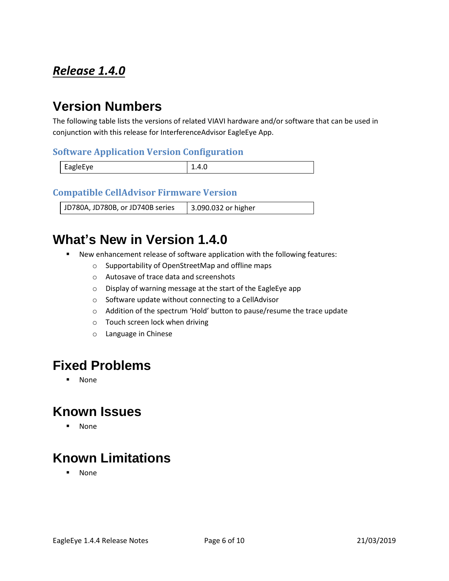### <span id="page-5-0"></span>*Release 1.4.0*

# **Version Numbers**

The following table lists the versions of related VIAVI hardware and/or software that can be used in conjunction with this release for InterferenceAdvisor EagleEye App.

#### **Software Application Version Configuration**

| EagleEye | 1.T.V |
|----------|-------|

#### **Compatible CellAdvisor Firmware Version**

JD780A, JD780B, or JD740B series | 3.090.032 or higher

### **What's New in Version 1.4.0**

- New enhancement release of software application with the following features:
	- o Supportability of OpenStreetMap and offline maps
	- o Autosave of trace data and screenshots
	- o Display of warning message at the start of the EagleEye app
	- o Software update without connecting to a CellAdvisor
	- o Addition of the spectrum 'Hold' button to pause/resume the trace update
	- o Touch screen lock when driving
	- o Language in Chinese

### **Fixed Problems**

▪ None

### **Known Issues**

▪ None

## **Known Limitations**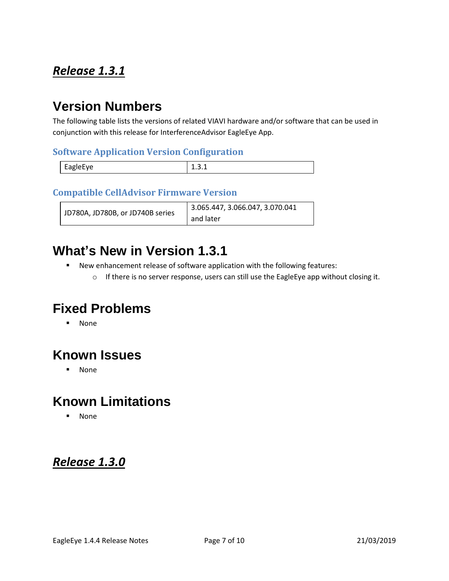### <span id="page-6-0"></span>*Release 1.3.1*

### **Version Numbers**

The following table lists the versions of related VIAVI hardware and/or software that can be used in conjunction with this release for InterferenceAdvisor EagleEye App.

### **Software Application Version Configuration**

|          | - |
|----------|---|
| EagleEye |   |

### **Compatible CellAdvisor Firmware Version**

| JD780A, JD780B, or JD740B series | 3.065.447, 3.066.047, 3.070.041 |
|----------------------------------|---------------------------------|
|                                  | and later                       |

### **What's New in Version 1.3.1**

- New enhancement release of software application with the following features:
	- o If there is no server response, users can still use the EagleEye app without closing it.

## **Fixed Problems**

▪ None

## **Known Issues**

▪ None

## **Known Limitations**

▪ None

### <span id="page-6-1"></span>*Release 1.3.0*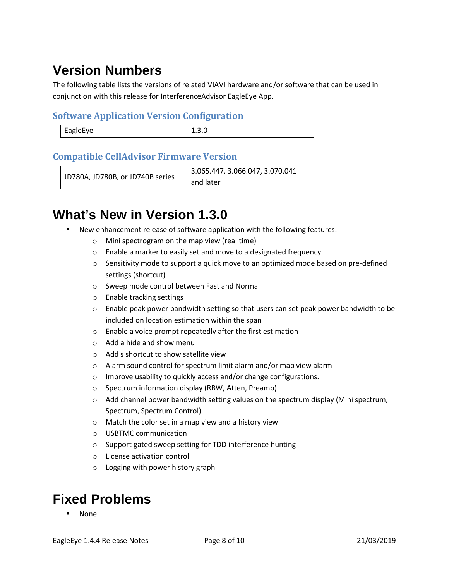# **Version Numbers**

The following table lists the versions of related VIAVI hardware and/or software that can be used in conjunction with this release for InterferenceAdvisor EagleEye App.

### **Software Application Version Configuration**

| <b>FagleFve</b><br>. |  |
|----------------------|--|
|                      |  |

### **Compatible CellAdvisor Firmware Version**

```
JD780A, JD780B, or JD740B series
                         3.065.447, 3.066.047, 3.070.041 
                         and later
```
## **What's New in Version 1.3.0**

- New enhancement release of software application with the following features:
	- o Mini spectrogram on the map view (real time)
	- o Enable a marker to easily set and move to a designated frequency
	- $\circ$  Sensitivity mode to support a quick move to an optimized mode based on pre-defined settings (shortcut)
	- o Sweep mode control between Fast and Normal
	- o Enable tracking settings
	- $\circ$  Enable peak power bandwidth setting so that users can set peak power bandwidth to be included on location estimation within the span
	- o Enable a voice prompt repeatedly after the first estimation
	- o Add a hide and show menu
	- o Add s shortcut to show satellite view
	- o Alarm sound control for spectrum limit alarm and/or map view alarm
	- o Improve usability to quickly access and/or change configurations.
	- o Spectrum information display (RBW, Atten, Preamp)
	- $\circ$  Add channel power bandwidth setting values on the spectrum display (Mini spectrum, Spectrum, Spectrum Control)
	- o Match the color set in a map view and a history view
	- o USBTMC communication
	- o Support gated sweep setting for TDD interference hunting
	- o License activation control
	- o Logging with power history graph

## **Fixed Problems**

**None**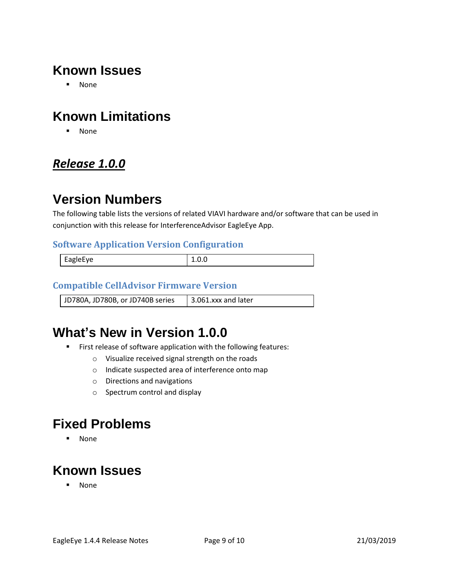## **Known Issues**

▪ None

## **Known Limitations**

▪ None

### <span id="page-8-0"></span>*Release 1.0.0*

### **Version Numbers**

The following table lists the versions of related VIAVI hardware and/or software that can be used in conjunction with this release for InterferenceAdvisor EagleEye App.

#### **Software Application Version Configuration**

| EagleEye | -.v.v |
|----------|-------|
|          |       |

### **Compatible CellAdvisor Firmware Version**

JD780A, JD780B, or JD740B series  $\parallel$  3.061.xxx and later

## **What's New in Version 1.0.0**

- First release of software application with the following features:
	- o Visualize received signal strength on the roads
	- o Indicate suspected area of interference onto map
	- o Directions and navigations
	- o Spectrum control and display

### **Fixed Problems**

▪ None

## **Known Issues**